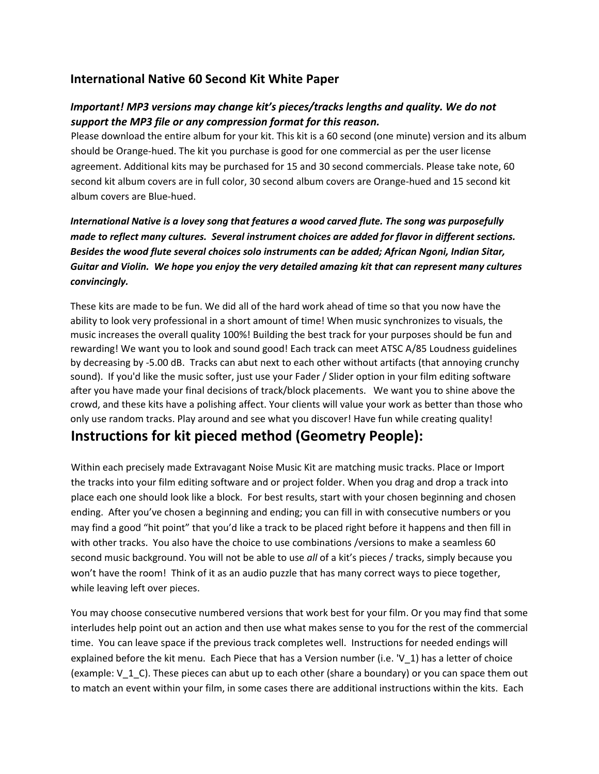## **International Native 60 Second Kit White Paper**

### *Important! MP3 versions may change kit's pieces/tracks lengths and quality. We do not support the MP3 file or any compression format for this reason.*

Please download the entire album for your kit. This kit is a 60 second (one minute) version and its album should be Orange-hued. The kit you purchase is good for one commercial as per the user license agreement. Additional kits may be purchased for 15 and 30 second commercials. Please take note, 60 second kit album covers are in full color, 30 second album covers are Orange-hued and 15 second kit album covers are Blue-hued.

## *International Native is a lovey song that features a wood carved flute. The song was purposefully made to reflect many cultures. Several instrument choices are added for flavor in different sections. Besides the wood flute several choices solo instruments can be added; African Ngoni, Indian Sitar, Guitar and Violin. We hope you enjoy the very detailed amazing kit that can represent many cultures convincingly.*

These kits are made to be fun. We did all of the hard work ahead of time so that you now have the ability to look very professional in a short amount of time! When music synchronizes to visuals, the music increases the overall quality 100%! Building the best track for your purposes should be fun and rewarding! We want you to look and sound good! Each track can meet ATSC A/85 Loudness guidelines by decreasing by -5.00 dB. Tracks can abut next to each other without artifacts (that annoying crunchy sound). If you'd like the music softer, just use your Fader / Slider option in your film editing software after you have made your final decisions of track/block placements. We want you to shine above the crowd, and these kits have a polishing affect. Your clients will value your work as better than those who only use random tracks. Play around and see what you discover! Have fun while creating quality!

# **Instructions for kit pieced method (Geometry People):**

Within each precisely made Extravagant Noise Music Kit are matching music tracks. Place or Import the tracks into your film editing software and or project folder. When you drag and drop a track into place each one should look like a block. For best results, start with your chosen beginning and chosen ending. After you've chosen a beginning and ending; you can fill in with consecutive numbers or you may find a good "hit point" that you'd like a track to be placed right before it happens and then fill in with other tracks. You also have the choice to use combinations /versions to make a seamless 60 second music background. You will not be able to use *all* of a kit's pieces / tracks, simply because you won't have the room! Think of it as an audio puzzle that has many correct ways to piece together, while leaving left over pieces.

You may choose consecutive numbered versions that work best for your film. Or you may find that some interludes help point out an action and then use what makes sense to you for the rest of the commercial time. You can leave space if the previous track completes well. Instructions for needed endings will explained before the kit menu. Each Piece that has a Version number (i.e. 'V\_1) has a letter of choice (example:  $V_1$  C). These pieces can abut up to each other (share a boundary) or you can space them out to match an event within your film, in some cases there are additional instructions within the kits. Each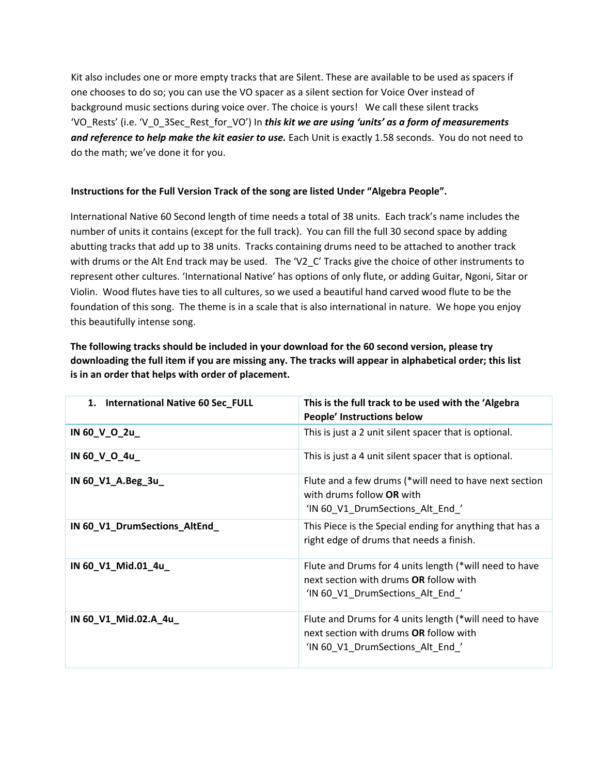Kit also includes one or more empty tracks that are Silent. These are available to be used as spacers if one chooses to do so; you can use the VO spacer as a silent section for Voice Over instead of background music sections during voice over. The choice is yours! We call these silent tracks 'VO\_Rests' (i.e. 'V\_0\_3Sec\_Rest\_for\_VO') In *this kit we are using 'units' as a form of measurements*  and reference to help make the kit easier to use. Each Unit is exactly 1.58 seconds. You do not need to do the math; we've done it for you.

#### **Instructions for the Full Version Track of the song are listed Under "Algebra People".**

International Native 60 Second length of time needs a total of 38 units. Each track's name includes the number of units it contains (except for the full track). You can fill the full 30 second space by adding abutting tracks that add up to 38 units. Tracks containing drums need to be attached to another track with drums or the Alt End track may be used. The 'V2\_C' Tracks give the choice of other instruments to represent other cultures. 'International Native' has options of only flute, or adding Guitar, Ngoni, Sitar or Violin. Wood flutes have ties to all cultures, so we used a beautiful hand carved wood flute to be the foundation of this song. The theme is in a scale that is also international in nature. We hope you enjoy this beautifully intense song.

**The following tracks should be included in your download for the 60 second version, please try downloading the full item if you are missing any. The tracks will appear in alphabetical order; this list is in an order that helps with order of placement.**

| <b>International Native 60 Sec_FULL</b><br>1. | This is the full track to be used with the 'Algebra<br>People' Instructions below                                                          |
|-----------------------------------------------|--------------------------------------------------------------------------------------------------------------------------------------------|
| IN 60_V_O_2u_                                 | This is just a 2 unit silent spacer that is optional.                                                                                      |
| IN 60_V_O_4u_                                 | This is just a 4 unit silent spacer that is optional.                                                                                      |
| IN 60_V1_A.Beg_3u_                            | Flute and a few drums (*will need to have next section<br>with drums follow OR with<br>'IN 60 V1 DrumSections Alt End'                     |
| IN 60_V1_DrumSections_AltEnd_                 | This Piece is the Special ending for anything that has a<br>right edge of drums that needs a finish.                                       |
| IN 60_V1_Mid.01_4u_                           | Flute and Drums for 4 units length (*will need to have<br>next section with drums OR follow with<br>'IN 60_V1_DrumSections_Alt_End_'       |
| IN 60_V1_Mid.02.A_4u_                         | Flute and Drums for 4 units length (*will need to have<br>next section with drums <b>OR</b> follow with<br>'IN 60 V1 DrumSections Alt End' |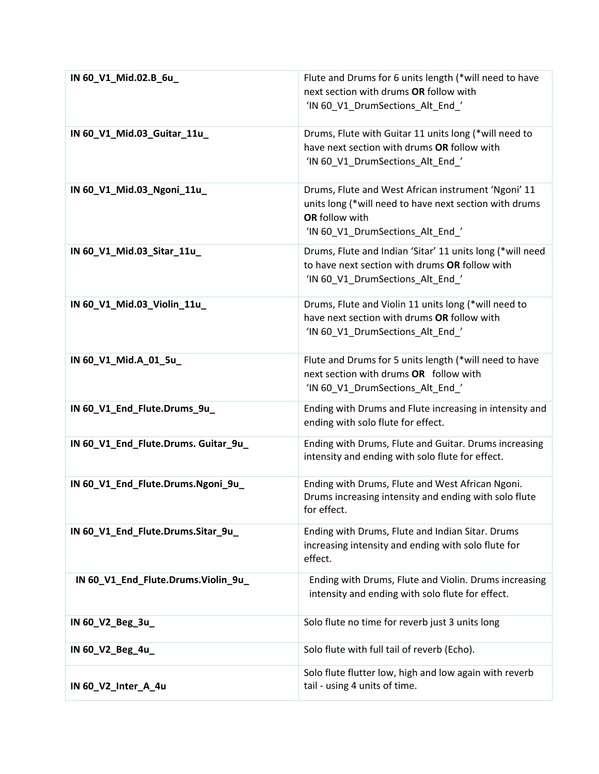| IN 60_V1_Mid.02.B_6u_                | Flute and Drums for 6 units length (*will need to have<br>next section with drums OR follow with<br>'IN 60 V1 DrumSections Alt End '                                |
|--------------------------------------|---------------------------------------------------------------------------------------------------------------------------------------------------------------------|
| IN 60_V1_Mid.03_Guitar_11u_          | Drums, Flute with Guitar 11 units long (*will need to<br>have next section with drums OR follow with<br>'IN 60_V1_DrumSections_Alt_End_'                            |
| IN 60_V1_Mid.03_Ngoni_11u_           | Drums, Flute and West African instrument 'Ngoni' 11<br>units long (*will need to have next section with drums<br>OR follow with<br>'IN 60_V1_DrumSections_Alt_End_' |
| IN 60_V1_Mid.03_Sitar_11u_           | Drums, Flute and Indian 'Sitar' 11 units long (*will need<br>to have next section with drums OR follow with<br>'IN 60_V1_DrumSections_Alt_End_'                     |
| IN 60_V1_Mid.03_Violin_11u_          | Drums, Flute and Violin 11 units long (*will need to<br>have next section with drums OR follow with<br>'IN 60_V1_DrumSections_Alt_End_'                             |
| IN 60_V1_Mid.A_01_5u                 | Flute and Drums for 5 units length (*will need to have<br>next section with drums OR follow with<br>'IN 60_V1_DrumSections_Alt_End_'                                |
| IN 60_V1_End_Flute.Drums_9u_         | Ending with Drums and Flute increasing in intensity and<br>ending with solo flute for effect.                                                                       |
| IN 60_V1_End_Flute.Drums. Guitar_9u_ | Ending with Drums, Flute and Guitar. Drums increasing<br>intensity and ending with solo flute for effect.                                                           |
| IN 60_V1_End_Flute.Drums.Ngoni_9u_   | Ending with Drums, Flute and West African Ngoni.<br>Drums increasing intensity and ending with solo flute<br>for effect.                                            |
| IN 60_V1_End_Flute.Drums.Sitar_9u_   | Ending with Drums, Flute and Indian Sitar. Drums<br>increasing intensity and ending with solo flute for<br>effect.                                                  |
| IN 60_V1_End_Flute.Drums.Violin_9u_  | Ending with Drums, Flute and Violin. Drums increasing<br>intensity and ending with solo flute for effect.                                                           |
| IN 60_V2_Beg_3u_                     | Solo flute no time for reverb just 3 units long                                                                                                                     |
| IN 60_V2_Beg_4u_                     | Solo flute with full tail of reverb (Echo).                                                                                                                         |
| IN 60_V2_Inter_A_4u                  | Solo flute flutter low, high and low again with reverb<br>tail - using 4 units of time.                                                                             |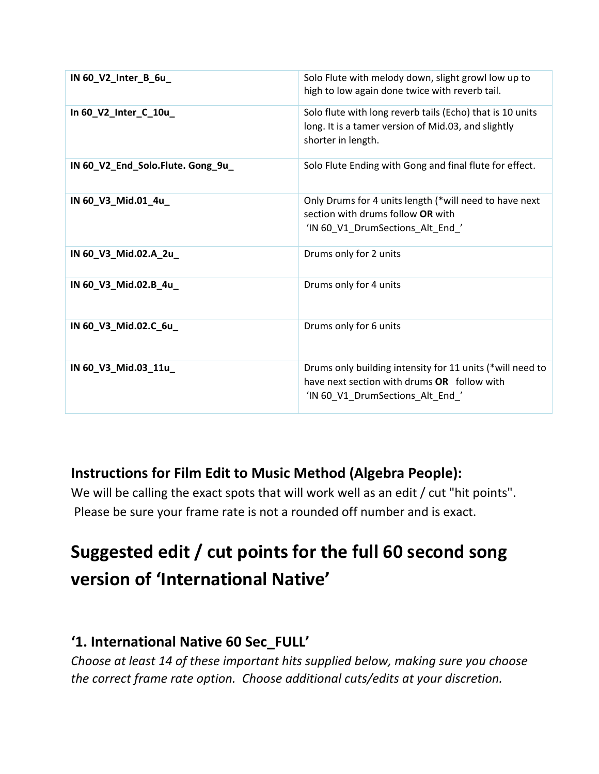| IN 60_V2_Inter_B_6u_              | Solo Flute with melody down, slight growl low up to<br>high to low again done twice with reverb tail.                                        |
|-----------------------------------|----------------------------------------------------------------------------------------------------------------------------------------------|
| In 60_V2_Inter_C_10u_             | Solo flute with long reverb tails (Echo) that is 10 units<br>long. It is a tamer version of Mid.03, and slightly<br>shorter in length.       |
| IN 60_V2_End_Solo.Flute. Gong_9u_ | Solo Flute Ending with Gong and final flute for effect.                                                                                      |
| IN 60_V3_Mid.01_4u_               | Only Drums for 4 units length (*will need to have next<br>section with drums follow OR with<br>'IN 60_V1_DrumSections_Alt_End_'              |
| IN 60_V3_Mid.02.A_2u_             | Drums only for 2 units                                                                                                                       |
| IN 60_V3_Mid.02.B_4u_             | Drums only for 4 units                                                                                                                       |
| IN 60_V3_Mid.02.C_6u_             | Drums only for 6 units                                                                                                                       |
| IN 60_V3_Mid.03_11u_              | Drums only building intensity for 11 units (*will need to<br>have next section with drums OR follow with<br>'IN 60_V1_DrumSections_Alt_End_' |

# **Instructions for Film Edit to Music Method (Algebra People):**

We will be calling the exact spots that will work well as an edit / cut "hit points". Please be sure your frame rate is not a rounded off number and is exact.

# **Suggested edit / cut points for the full 60 second song version of 'International Native'**

# **'1. International Native 60 Sec\_FULL'**

*Choose at least 14 of these important hits supplied below, making sure you choose the correct frame rate option. Choose additional cuts/edits at your discretion.*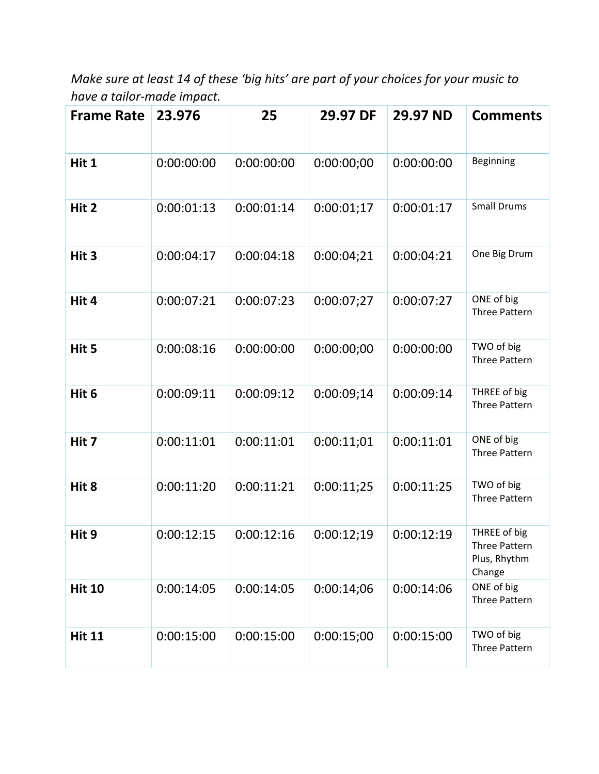*Make sure at least 14 of these 'big hits' are part of your choices for your music to have a tailor-made impact.* 

| <b>Frame Rate</b> | 23.976     | 25         | 29.97 DF   | 29.97 ND   | <b>Comments</b>                                         |
|-------------------|------------|------------|------------|------------|---------------------------------------------------------|
| Hit 1             | 0:00:00:00 | 0:00:00:00 | 0:00:00;00 | 0:00:00:00 | Beginning                                               |
| Hit 2             | 0:00:01:13 | 0:00:01:14 | 0:00:01;17 | 0:00:01:17 | <b>Small Drums</b>                                      |
| Hit 3             | 0:00:04:17 | 0:00:04:18 | 0:00:04;21 | 0:00:04:21 | One Big Drum                                            |
| Hit 4             | 0:00:07:21 | 0:00:07:23 | 0:00:07;27 | 0:00:07:27 | ONE of big<br><b>Three Pattern</b>                      |
| Hit 5             | 0:00:08:16 | 0:00:00:00 | 0:00:00;00 | 0:00:00:00 | TWO of big<br><b>Three Pattern</b>                      |
| Hit 6             | 0:00:09:11 | 0:00:09:12 | 0:00:09;14 | 0:00:09:14 | THREE of big<br>Three Pattern                           |
| Hit 7             | 0:00:11:01 | 0:00:11:01 | 0:00:11;01 | 0:00:11:01 | ONE of big<br><b>Three Pattern</b>                      |
| Hit 8             | 0:00:11:20 | 0:00:11:21 | 0:00:11;25 | 0:00:11:25 | TWO of big<br><b>Three Pattern</b>                      |
| Hit 9             | 0:00:12:15 | 0:00:12:16 | 0:00:12:19 | 0:00:12:19 | THREE of big<br>Three Pattern<br>Plus, Rhythm<br>Change |
| <b>Hit 10</b>     | 0:00:14:05 | 0:00:14:05 | 0:00:14:06 | 0:00:14:06 | ONE of big<br><b>Three Pattern</b>                      |
| <b>Hit 11</b>     | 0:00:15:00 | 0:00:15:00 | 0:00:15:00 | 0:00:15:00 | TWO of big<br>Three Pattern                             |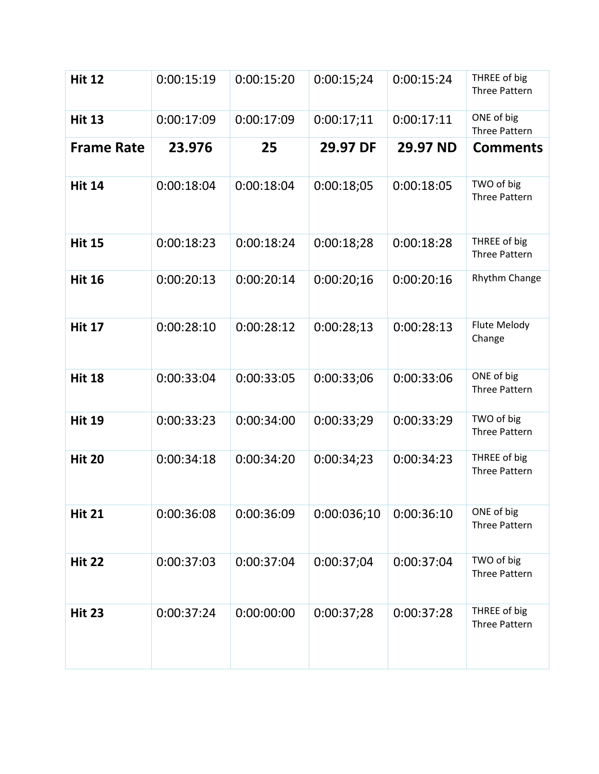| <b>Hit 12</b>     | 0:00:15:19 | 0:00:15:20 | 0:00:15;24  | 0:00:15:24 | THREE of big<br><b>Three Pattern</b> |
|-------------------|------------|------------|-------------|------------|--------------------------------------|
| <b>Hit 13</b>     | 0:00:17:09 | 0:00:17:09 | 0:00:17;11  | 0:00:17:11 | ONE of big<br><b>Three Pattern</b>   |
| <b>Frame Rate</b> | 23.976     | 25         | 29.97 DF    | 29.97 ND   | <b>Comments</b>                      |
| <b>Hit 14</b>     | 0:00:18:04 | 0:00:18:04 | 0:00:18:05  | 0:00:18:05 | TWO of big<br><b>Three Pattern</b>   |
| <b>Hit 15</b>     | 0:00:18:23 | 0:00:18:24 | 0:00:18;28  | 0:00:18:28 | THREE of big<br>Three Pattern        |
| <b>Hit 16</b>     | 0:00:20:13 | 0:00:20:14 | 0:00:20;16  | 0:00:20:16 | Rhythm Change                        |
| <b>Hit 17</b>     | 0:00:28:10 | 0:00:28:12 | 0:00:28:13  | 0:00:28:13 | Flute Melody<br>Change               |
| <b>Hit 18</b>     | 0:00:33:04 | 0:00:33:05 | 0:00:33;06  | 0:00:33:06 | ONE of big<br><b>Three Pattern</b>   |
| <b>Hit 19</b>     | 0:00:33:23 | 0:00:34:00 | 0:00:33;29  | 0:00:33:29 | TWO of big<br>Three Pattern          |
| <b>Hit 20</b>     | 0:00:34:18 | 0:00:34:20 | 0:00:34;23  | 0:00:34:23 | THREE of big<br><b>Three Pattern</b> |
| <b>Hit 21</b>     | 0:00:36:08 | 0:00:36:09 | 0:00:036;10 | 0:00:36:10 | ONE of big<br>Three Pattern          |
| <b>Hit 22</b>     | 0:00:37:03 | 0:00:37:04 | 0:00:37;04  | 0:00:37:04 | TWO of big<br><b>Three Pattern</b>   |
| <b>Hit 23</b>     | 0:00:37:24 | 0:00:00:00 | 0:00:37;28  | 0:00:37:28 | THREE of big<br><b>Three Pattern</b> |